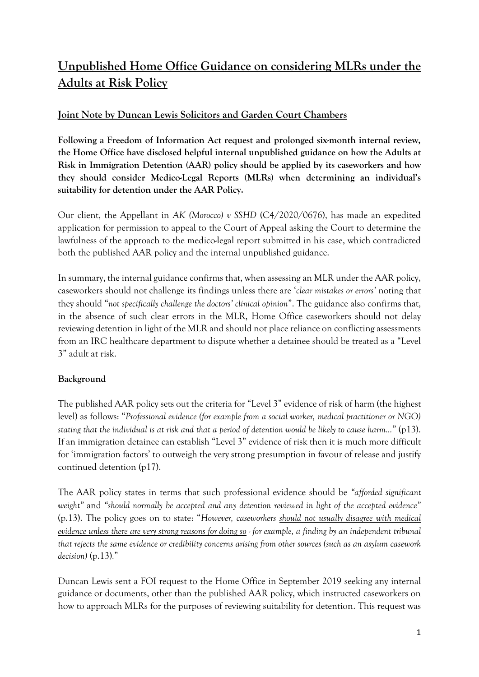# **Unpublished Home Office Guidance on considering MLRs under the Adults at Risk Policy**

# **Joint Note by Duncan Lewis Solicitors and Garden Court Chambers**

**Following a Freedom of Information Act request and prolonged six-month internal review, the Home Office have disclosed helpful internal unpublished guidance on how the Adults at Risk in Immigration Detention (AAR) policy should be applied by its caseworkers and how they should consider Medico-Legal Reports (MLRs) when determining an individual's suitability for detention under the AAR Policy.** 

Our client, the Appellant in *AK (Morocco) v SSHD* (C4/2020/0676), has made an expedited application for permission to appeal to the Court of Appeal asking the Court to determine the lawfulness of the approach to the medico-legal report submitted in his case, which contradicted both the published AAR policy and the internal unpublished guidance.

In summary, the internal guidance confirms that, when assessing an MLR under the AAR policy, caseworkers should not challenge its findings unless there are '*clear mistakes or errors'* noting that they should "*not specifically challenge the doctors' clinical opinion*". The guidance also confirms that, in the absence of such clear errors in the MLR, Home Office caseworkers should not delay reviewing detention in light of the MLR and should not place reliance on conflicting assessments from an IRC healthcare department to dispute whether a detainee should be treated as a "Level 3" adult at risk.

## **Background**

The published AAR policy sets out the criteria for "Level 3" evidence of risk of harm (the highest level) as follows: "*Professional evidence (for example from a social worker, medical practitioner or NGO) stating that the individual is at risk and that a period of detention would be likely to cause harm…*" (p13). If an immigration detainee can establish "Level 3" evidence of risk then it is much more difficult for 'immigration factors' to outweigh the very strong presumption in favour of release and justify continued detention (p17).

The AAR policy states in terms that such professional evidence should be *"afforded significant weight"* and *"should normally be accepted and any detention reviewed in light of the accepted evidence"* (p.13). The policy goes on to state: "*However, caseworkers should not usually disagree with medical evidence unless there are very strong reasons for doing so - for example, a finding by an independent tribunal that rejects the same evidence or credibility concerns arising from other sources (such as an asylum casework decision)* (p.13)*.*"

Duncan Lewis sent a FOI request to the Home Office in September 2019 seeking any internal guidance or documents, other than the published AAR policy, which instructed caseworkers on how to approach MLRs for the purposes of reviewing suitability for detention. This request was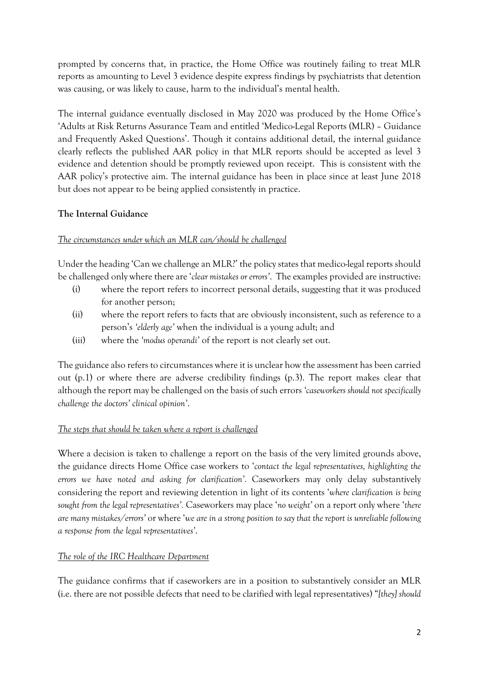prompted by concerns that, in practice, the Home Office was routinely failing to treat MLR reports as amounting to Level 3 evidence despite express findings by psychiatrists that detention was causing, or was likely to cause, harm to the individual's mental health.

The internal guidance eventually disclosed in May 2020 was produced by the Home Office's 'Adults at Risk Returns Assurance Team and entitled 'Medico-Legal Reports (MLR) – Guidance and Frequently Asked Questions'. Though it contains additional detail, the internal guidance clearly reflects the published AAR policy in that MLR reports should be accepted as level 3 evidence and detention should be promptly reviewed upon receipt. This is consistent with the AAR policy's protective aim. The internal guidance has been in place since at least June 2018 but does not appear to be being applied consistently in practice.

## **The Internal Guidance**

#### *The circumstances under which an MLR can/should be challenged*

Under the heading 'Can we challenge an MLR?' the policy states that medico-legal reports should be challenged only where there are '*clear mistakes or errors'*. The examples provided are instructive:

- (i) where the report refers to incorrect personal details, suggesting that it was produced for another person;
- (ii) where the report refers to facts that are obviously inconsistent, such as reference to a person's *'elderly age'* when the individual is a young adult; and
- (iii) where the *'modus operandi'* of the report is not clearly set out.

The guidance also refers to circumstances where it is unclear how the assessment has been carried out (p.1) or where there are adverse credibility findings (p.3). The report makes clear that although the report may be challenged on the basis of such errors *'caseworkers should not specifically challenge the doctors' clinical opinion'*.

#### *The steps that should be taken where a report is challenged*

Where a decision is taken to challenge a report on the basis of the very limited grounds above, the guidance directs Home Office case workers to '*contact the legal representatives, highlighting the errors we have noted and asking for clarification'.* Caseworkers may only delay substantively considering the report and reviewing detention in light of its contents '*where clarification is being sought from the legal representatives'.* Caseworkers may place '*no weight'* on a report only where '*there are many mistakes/errors'* or where '*we are in a strong position to say that the report is unreliable following a response from the legal representatives'*.

#### *The role of the IRC Healthcare Department*

The guidance confirms that if caseworkers are in a position to substantively consider an MLR (i.e. there are not possible defects that need to be clarified with legal representatives) "*[they] should*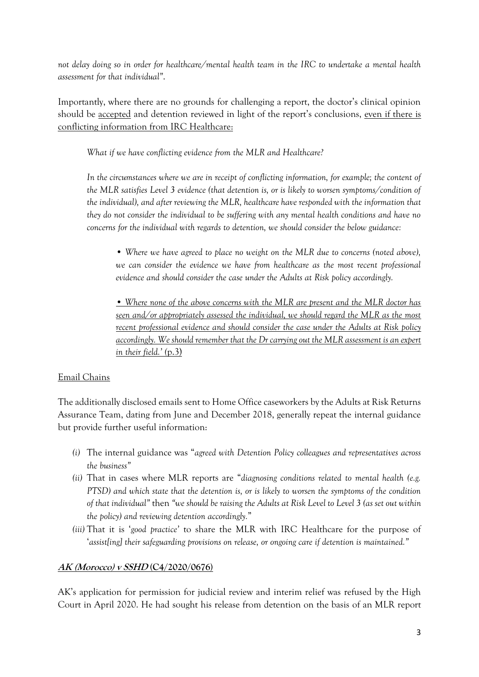*not delay doing so in order for healthcare/mental health team in the IRC to undertake a mental health assessment for that individual"*.

Importantly, where there are no grounds for challenging a report, the doctor's clinical opinion should be accepted and detention reviewed in light of the report's conclusions, even if there is conflicting information from IRC Healthcare:

*What if we have conflicting evidence from the MLR and Healthcare?* 

*In the circumstances where we are in receipt of conflicting information, for example; the content of the MLR satisfies Level 3 evidence (that detention is, or is likely to worsen symptoms/condition of the individual), and after reviewing the MLR, healthcare have responded with the information that they do not consider the individual to be suffering with any mental health conditions and have no concerns for the individual with regards to detention, we should consider the below guidance:* 

• Where we have agreed to place no weight on the MLR due to concerns (noted above), we can consider the evidence we have from healthcare as the most recent professional *evidence and should consider the case under the Adults at Risk policy accordingly.* 

*• Where none of the above concerns with the MLR are present and the MLR doctor has seen and/or appropriately assessed the individual, we should regard the MLR as the most recent professional evidence and should consider the case under the Adults at Risk policy accordingly. We should remember that the Dr carrying out the MLR assessment is an expert in their field.' (*p.3)

#### Email Chains

The additionally disclosed emails sent to Home Office caseworkers by the Adults at Risk Returns Assurance Team, dating from June and December 2018, generally repeat the internal guidance but provide further useful information:

- *(i)* The internal guidance was "*agreed with Detention Policy colleagues and representatives across the business"*
- *(ii)* That in cases where MLR reports are "*diagnosing conditions related to mental health (e.g. PTSD) and which state that the detention is, or is likely to worsen the symptoms of the condition of that individual"* then *"we should be raising the Adults at Risk Level to Level 3 (as set out within the policy) and reviewing detention accordingly.*"
- *(iii)* That it is '*good practice'* to share the MLR with IRC Healthcare for the purpose of '*assist[ing] their safeguarding provisions on release, or ongoing care if detention is maintained."*

#### **AK (Morocco) v SSHD (C4/2020/0676)**

AK's application for permission for judicial review and interim relief was refused by the High Court in April 2020. He had sought his release from detention on the basis of an MLR report